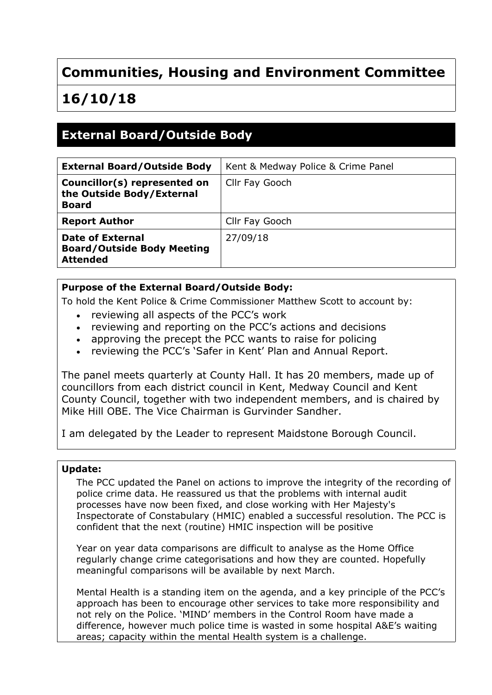## **Communities, Housing and Environment Committee**

# **16/10/18**

## **External Board/Outside Body**

| <b>External Board/Outside Body</b>                                        | Kent & Medway Police & Crime Panel |
|---------------------------------------------------------------------------|------------------------------------|
| Councillor(s) represented on<br>the Outside Body/External<br><b>Board</b> | Cllr Fay Gooch                     |
| <b>Report Author</b>                                                      | Cllr Fay Gooch                     |
| Date of External<br><b>Board/Outside Body Meeting</b><br><b>Attended</b>  | 27/09/18                           |

### **Purpose of the External Board/Outside Body:**

To hold the Kent Police & Crime Commissioner Matthew Scott to account by:

- reviewing all aspects of the PCC's work
- reviewing and reporting on the PCC's actions and decisions
- approving the precept the PCC wants to raise for policing
- reviewing the PCC's 'Safer in Kent' Plan and Annual Report.

The panel meets quarterly at County Hall. It has 20 [members,](https://democracy.kent.gov.uk/mgCommitteeDetails.aspx?ID=776) made up of councillors from each district council in Kent, Medway Council and Kent County Council, together with two independent members, and is chaired by Mike Hill OBE. The Vice Chairman is Gurvinder Sandher.

I am delegated by the Leader to represent Maidstone Borough Council.

#### **Update:**

The PCC updated the Panel on actions to improve the integrity of the recording of police crime data. He reassured us that the problems with internal audit processes have now been fixed, and close working with Her Majesty's Inspectorate of Constabulary (HMIC) enabled a successful resolution. The PCC is confident that the next (routine) HMIC inspection will be positive

Year on year data comparisons are difficult to analyse as the Home Office regularly change crime categorisations and how they are counted. Hopefully meaningful comparisons will be available by next March.

Mental Health is a standing item on the agenda, and a key principle of the PCC's approach has been to encourage other services to take more responsibility and not rely on the Police. 'MIND' members in the Control Room have made a difference, however much police time is wasted in some hospital A&E's waiting areas; capacity within the mental Health system is a challenge.